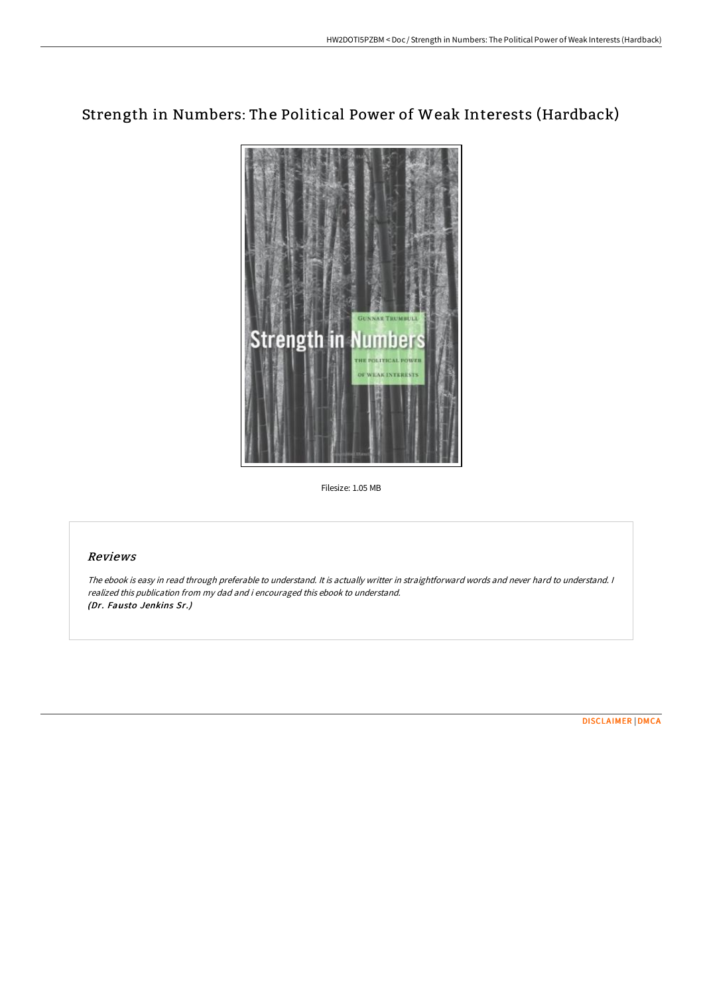# Strength in Numbers: The Political Power of Weak Interests (Hardback)



Filesize: 1.05 MB

## Reviews

The ebook is easy in read through preferable to understand. It is actually writter in straightforward words and never hard to understand. <sup>I</sup> realized this publication from my dad and i encouraged this ebook to understand. (Dr. Fausto Jenkins Sr.)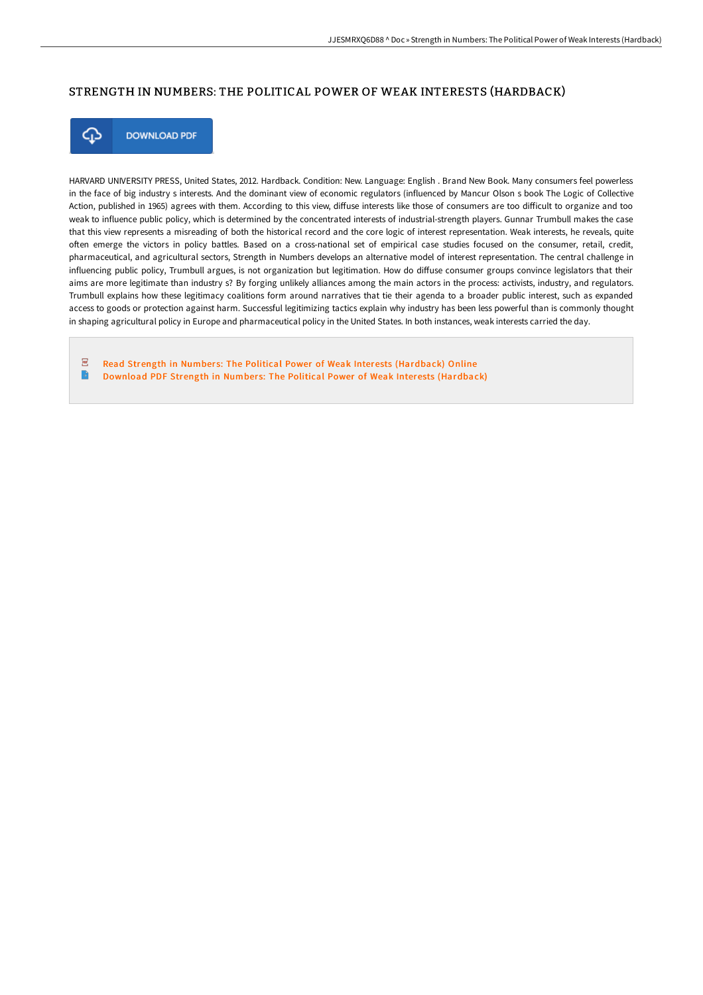### STRENGTH IN NUMBERS: THE POLITICAL POWER OF WEAK INTERESTS (HARDBACK)



**DOWNLOAD PDF** 

HARVARD UNIVERSITY PRESS, United States, 2012. Hardback. Condition: New. Language: English . Brand New Book. Many consumers feel powerless in the face of big industry s interests. And the dominant view of economic regulators (influenced by Mancur Olson s book The Logic of Collective Action, published in 1965) agrees with them. According to this view, diffuse interests like those of consumers are too difficult to organize and too weak to influence public policy, which is determined by the concentrated interests of industrial-strength players. Gunnar Trumbull makes the case that this view represents a misreading of both the historical record and the core logic of interest representation. Weak interests, he reveals, quite often emerge the victors in policy battles. Based on a cross-national set of empirical case studies focused on the consumer, retail, credit, pharmaceutical, and agricultural sectors, Strength in Numbers develops an alternative model of interest representation. The central challenge in influencing public policy, Trumbull argues, is not organization but legitimation. How do diffuse consumer groups convince legislators that their aims are more legitimate than industry s? By forging unlikely alliances among the main actors in the process: activists, industry, and regulators. Trumbull explains how these legitimacy coalitions form around narratives that tie their agenda to a broader public interest, such as expanded access to goods or protection against harm. Successful legitimizing tactics explain why industry has been less powerful than is commonly thought in shaping agricultural policy in Europe and pharmaceutical policy in the United States. In both instances, weak interests carried the day.

 $\overline{p}$ Read Strength in Numbers: The Political Power of Weak Interests [\(Hardback\)](http://digilib.live/strength-in-numbers-the-political-power-of-weak-.html) Online  $\blacksquare$ Download PDF Strength in Numbers: The Political Power of Weak Interests [\(Hardback\)](http://digilib.live/strength-in-numbers-the-political-power-of-weak-.html)